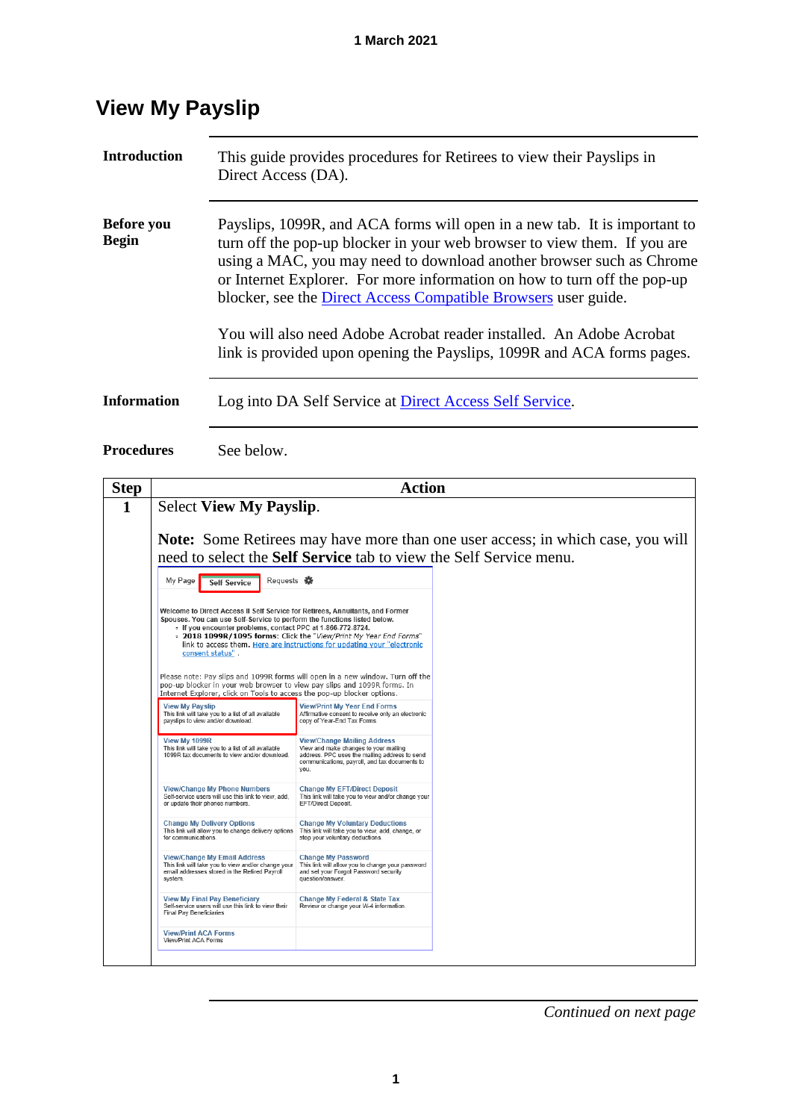| <b>Introduction</b>               | This guide provides procedures for Retirees to view their Payslips in<br>Direct Access (DA).                                                                                                                                                                                                                                                                                |
|-----------------------------------|-----------------------------------------------------------------------------------------------------------------------------------------------------------------------------------------------------------------------------------------------------------------------------------------------------------------------------------------------------------------------------|
| <b>Before</b> you<br><b>Begin</b> | Payslips, 1099R, and ACA forms will open in a new tab. It is important to<br>turn off the pop-up blocker in your web browser to view them. If you are<br>using a MAC, you may need to download another browser such as Chrome<br>or Internet Explorer. For more information on how to turn off the pop-up<br>blocker, see the Direct Access Compatible Browsers user guide. |
|                                   | You will also need Adobe Acrobat reader installed. An Adobe Acrobat<br>link is provided upon opening the Payslips, 1099R and ACA forms pages.                                                                                                                                                                                                                               |
| <b>Information</b>                | Log into DA Self Service at Direct Access Self Service.                                                                                                                                                                                                                                                                                                                     |

### **View My Payslip**

**Procedures** See below.

**Step Action 1** Select **View My Payslip**. **Note:** Some Retirees may have more than one user access; in which case, you will need to select the **Self Service** tab to view the Self Service menu. Requests My Page Self Service **Welcome to Direct Access II Self Service for Retirees Annuitants and Former** Welcome to Direct Access in Service to perform the functions listed helow.<br>Spouses. You can use Self-Service to perform the functions listed below.<br>Figure 1. The spouse of the scheme of the Service of the Service of the Ni link to access them. Here are instructions for updating your "electronic consent status" Please note: Pay slips and 1099R forms will open in a new window. Turn off the<br>pop-up blocker in your web browser to view pay slips and 1099R forms. In<br>Internet Explorer, click on Tools to access the pop-up blocker options View My Payslip<br>This link will take you to a list of all available<br>payslips to view and/or download. View/Print My Year End Forms<br>Affirmative consent to receive only an electronic<br>copy of Year-End Tax Forms. View/Change Mailing Address<br>View and make changes to your mailing<br>address. PPC uses the mailing address to send<br>communications, payroll, and tax documents to<br>you. View My 1099R<br>This link will take you to a list of all available<br>1099R tax documents to view and/or download. View/Change My Phone Numbers<br>Self-service users will use this link to view, add,<br>or update their phones numbers. Change My EFT/Direct Deposit<br>This link will take you to view and/or change your<br>EFT/Direct Deposit. Change My Delivery Options<br>This link will allow you to change delivery options<br>This link will take you to change delivery options<br>of the routhary deductions.<br>The your voluntary deductions. View/Change My Email Address Change My Password<br>This link will take you to view and/or change your This link will allow you to change your password<br>email addresses stored in the Retired Payroll and set your Forgot Password View My Final Pay Beneficiary<br>Self-service users will use this link to view their<br>Final Pay Beneficiaries Change My Federal & State Tax<br>Review or change your W-4 information. **View/Print ACA Forms**<br>View/Print ACA Forms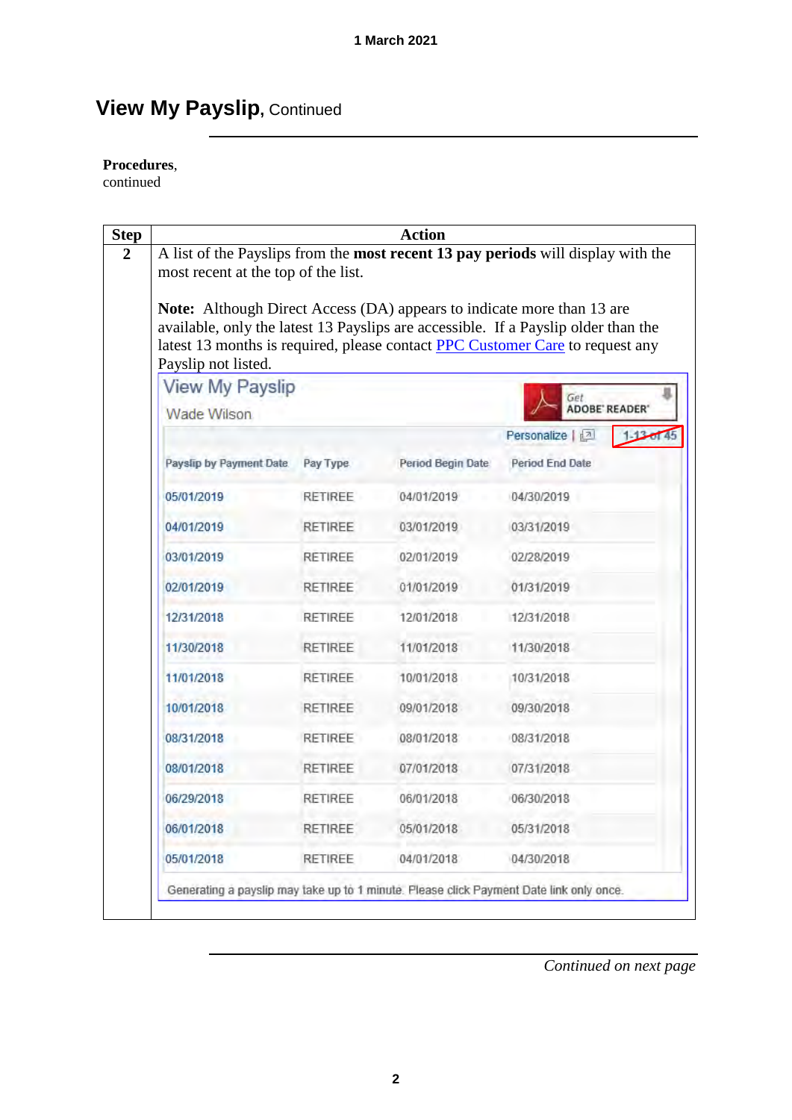#### **Procedures**,

continued

|                                                                                                      |                | <b>Action</b>     |                                                                                                                                                                     |
|------------------------------------------------------------------------------------------------------|----------------|-------------------|---------------------------------------------------------------------------------------------------------------------------------------------------------------------|
| most recent at the top of the list.                                                                  |                |                   | A list of the Payslips from the most recent 13 pay periods will display with the                                                                                    |
| <b>Note:</b> Although Direct Access (DA) appears to indicate more than 13 are<br>Payslip not listed. |                |                   | available, only the latest 13 Payslips are accessible. If a Payslip older than the<br>latest 13 months is required, please contact PPC Customer Care to request any |
| <b>View My Payslip</b>                                                                               |                |                   |                                                                                                                                                                     |
| Wade Wilson                                                                                          |                |                   | Get<br><b>ADOBE' READER'</b>                                                                                                                                        |
|                                                                                                      |                |                   | Personalize   2                                                                                                                                                     |
| Payslip by Payment Date.                                                                             | Pay Type       | Period Begin Date | <b>Period End Date</b>                                                                                                                                              |
| 05/01/2019                                                                                           | RETIREE        | 04/01/2019        | 04/30/2019                                                                                                                                                          |
| 04/01/2019                                                                                           | <b>RETIREE</b> | 03/01/2019        | 03/31/2019                                                                                                                                                          |
| 03/01/2019                                                                                           | RETIREE        | 02/01/2019        | 02/28/2019                                                                                                                                                          |
| 02/01/2019                                                                                           | <b>RETIREE</b> | 01/01/2019        | 01/31/2019                                                                                                                                                          |
| 12/31/2018                                                                                           | RETIREE        | 12/01/2018        | 12/31/2018                                                                                                                                                          |
| 11/30/2018                                                                                           | <b>RETIREE</b> | 11/01/2018        | 11/30/2018                                                                                                                                                          |
| 11/01/2018                                                                                           | <b>RETIREE</b> | 10/01/2018        | 10/31/2018                                                                                                                                                          |
| 10/01/2018                                                                                           | <b>RETIREE</b> | 09/01/2018        | 09/30/2018                                                                                                                                                          |
| 08/31/2018                                                                                           | RETIREE        | 08/01/2018        | 08/31/2018                                                                                                                                                          |
| 08/01/2018                                                                                           | <b>RETIREE</b> | 07/01/2018        | 07/31/2018                                                                                                                                                          |
| 06/29/2018                                                                                           | RETIREE        | 06/01/2018        | 06/30/2018                                                                                                                                                          |
| 06/01/2018                                                                                           | <b>RETIREE</b> | 05/01/2018        | 05/31/2018                                                                                                                                                          |
| 05/01/2018                                                                                           | RETIREE        | 04/01/2018        | 04/30/2018                                                                                                                                                          |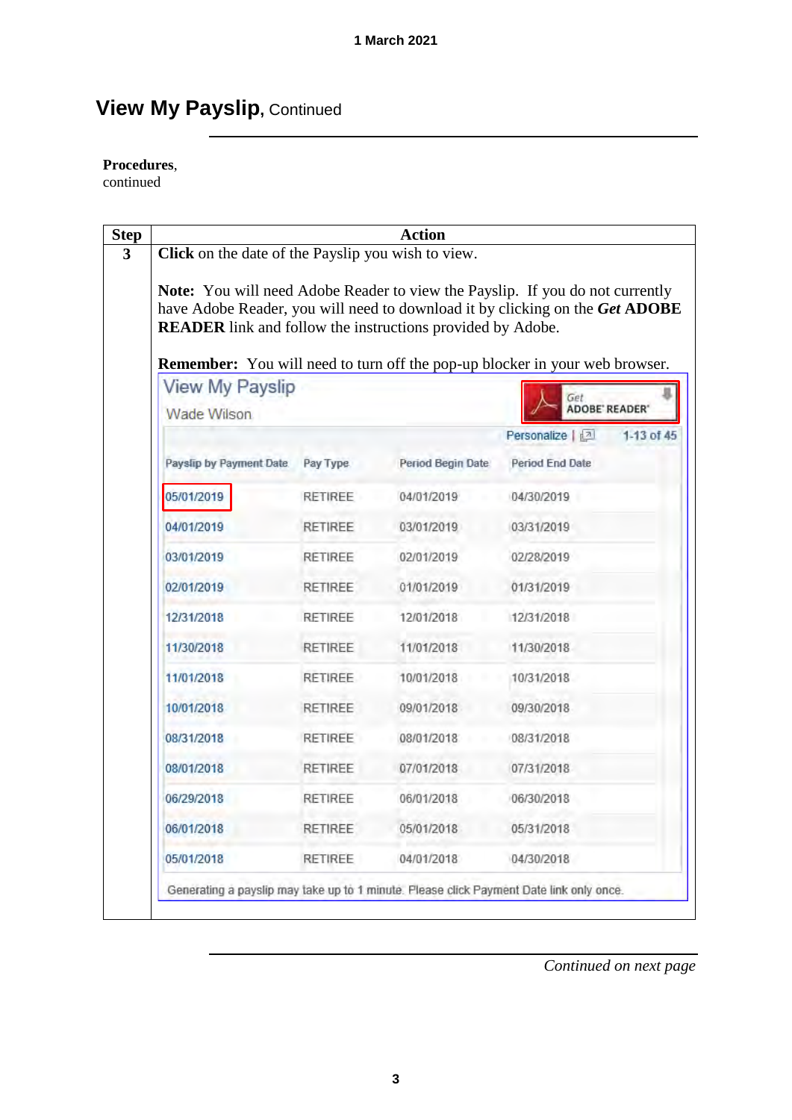#### **Procedures**,

continued

| Click on the date of the Payslip you wish to view.                |                | <b>Action</b>     |                                                                                                                                                                      |
|-------------------------------------------------------------------|----------------|-------------------|----------------------------------------------------------------------------------------------------------------------------------------------------------------------|
| <b>READER</b> link and follow the instructions provided by Adobe. |                |                   | <b>Note:</b> You will need Adobe Reader to view the Payslip. If you do not currently<br>have Adobe Reader, you will need to download it by clicking on the Get ADOBE |
| <b>View My Payslip</b><br>Wade Wilson                             |                |                   | <b>Remember:</b> You will need to turn off the pop-up blocker in your web browser.<br>Get<br>ADOBE' READER'                                                          |
|                                                                   |                |                   | Personalize   2<br>1-13 of 45                                                                                                                                        |
| Payslip by Payment Date.                                          | Pay Type       | Period Begin Date | <b>Period End Date</b>                                                                                                                                               |
| 05/01/2019                                                        | RETIREE        | 04/01/2019        | 04/30/2019                                                                                                                                                           |
| 04/01/2019                                                        | <b>RETIREE</b> | 03/01/2019        | 03/31/2019                                                                                                                                                           |
| 03/01/2019                                                        | <b>RETIREE</b> | 02/01/2019        | 02/28/2019                                                                                                                                                           |
| 02/01/2019                                                        | <b>RETIREE</b> | 01/01/2019        | 01/31/2019                                                                                                                                                           |
| 12/31/2018                                                        | RETIREE        | 12/01/2018        | 12/31/2018                                                                                                                                                           |
| 11/30/2018                                                        | <b>RETIREE</b> | 11/01/2018        | 11/30/2018                                                                                                                                                           |
| 11/01/2018                                                        | <b>RETIREE</b> | 10/01/2018        | 10/31/2018                                                                                                                                                           |
| 10/01/2018                                                        | <b>RETIREE</b> | 09/01/2018        | 09/30/2018                                                                                                                                                           |
| 08/31/2018                                                        | RETIREE        | 08/01/2018        | 08/31/2018                                                                                                                                                           |
| 08/01/2018                                                        | <b>RETIREE</b> | 07/01/2018        | 07/31/2018                                                                                                                                                           |
| 06/29/2018                                                        | RETIREE        | 06/01/2018        | 06/30/2018                                                                                                                                                           |
| 06/01/2018                                                        | <b>RETIREE</b> | 05/01/2018        | 05/31/2018                                                                                                                                                           |
| 05/01/2018                                                        | RETIREE        | 04/01/2018        | 04/30/2018                                                                                                                                                           |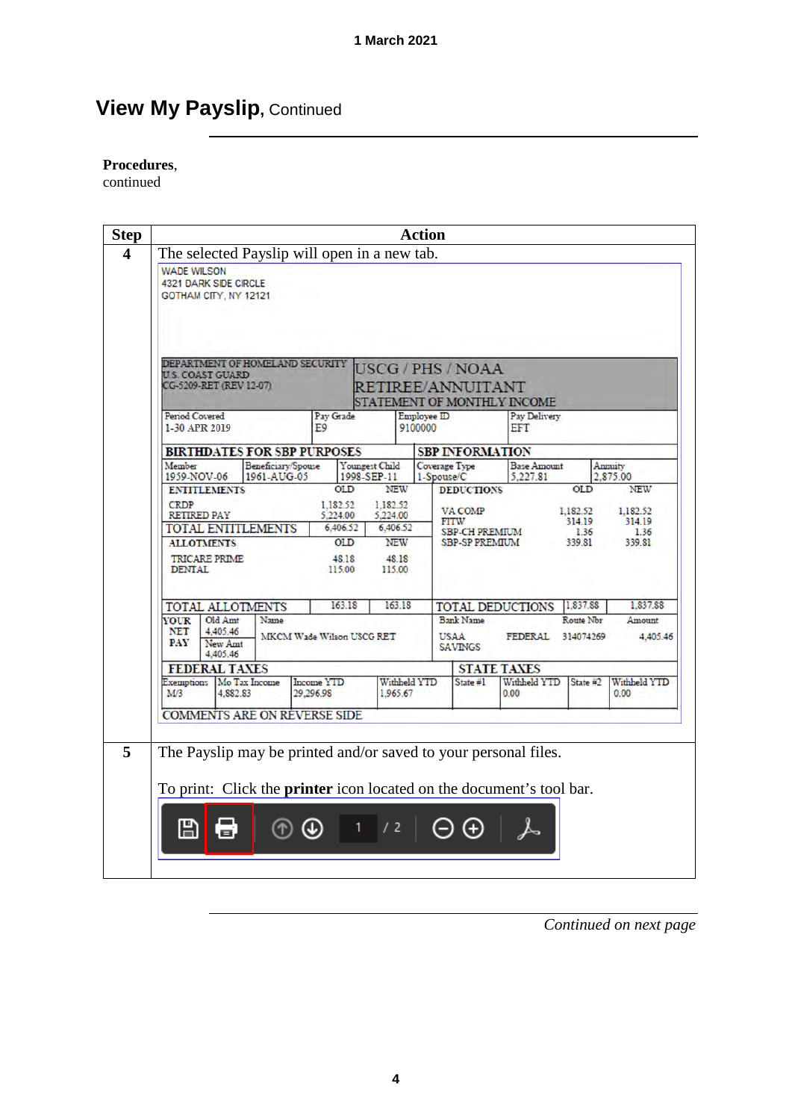#### **Procedures**,

continued

|                              |                                                                                 |                                              |                           |                                                                          |                                                                                 | <b>Action</b>               |                                                                                               |                                                                                                                                                |                                                    |                                                    |
|------------------------------|---------------------------------------------------------------------------------|----------------------------------------------|---------------------------|--------------------------------------------------------------------------|---------------------------------------------------------------------------------|-----------------------------|-----------------------------------------------------------------------------------------------|------------------------------------------------------------------------------------------------------------------------------------------------|----------------------------------------------------|----------------------------------------------------|
|                              |                                                                                 | The selected Payslip will open in a new tab. |                           |                                                                          |                                                                                 |                             |                                                                                               |                                                                                                                                                |                                                    |                                                    |
| <b>WADE WILSON</b>           | <b>4321 DARK SIDE CIRCLE</b><br>GOTHAM CITY, NY 12121                           |                                              |                           |                                                                          |                                                                                 |                             |                                                                                               |                                                                                                                                                |                                                    |                                                    |
|                              | <b>U.S. COAST GUARD</b><br>CG-5209-RET (REV 12-07)                              | DEPARTMENT OF HOMELAND SECURITY              |                           |                                                                          |                                                                                 |                             | <b>USCG/PHS/NOAA</b><br>RETIREE/ANNUITANT                                                     | STATEMENT OF MONTHLY INCOME                                                                                                                    |                                                    |                                                    |
| Period Covered               | 1-30 APR 2019                                                                   |                                              | E9                        | Pay Grade                                                                |                                                                                 | Employee ID<br>9100000      |                                                                                               | Pay Delivery<br><b>EFT</b>                                                                                                                     |                                                    |                                                    |
|                              |                                                                                 | <b>BIRTHDATES FOR SBP PURPOSES</b>           |                           |                                                                          |                                                                                 |                             | <b>SBP INFORMATION</b>                                                                        |                                                                                                                                                |                                                    |                                                    |
| Member                       | 1959-NOV-06                                                                     | Beneficiary/Spouse<br>1961-AUG-05            |                           |                                                                          | Youngest Child<br>1998-SEP-11                                                   | Coverage Type<br>1-Spouse/C |                                                                                               | <b>Base Amount</b><br>5.227.81                                                                                                                 |                                                    | Annuity<br>2.875.00                                |
| <b>CRDP</b><br><b>DENTAL</b> | <b>ENTITLEMENTS</b><br>RETIRED PAY<br><b>ALLOTMENTS</b><br><b>TRICARE PRIME</b> | <b>TOTAL ENTITLEMENTS</b>                    |                           | OLD<br>1.182.52<br>5.224.00<br>6,406.52<br><b>OLD</b><br>48.18<br>115.00 | <b>NEW</b><br>1.182.52<br>5.224.00<br>6,406.52<br><b>NEW</b><br>48.18<br>115.00 |                             | <b>DEDUCTIONS</b><br>VA COMP<br><b>FITW</b><br><b>SBP-CH PREMIUM</b><br><b>SBP-SP PREMIUM</b> |                                                                                                                                                | <b>OLD</b><br>1.182.52<br>314.19<br>1.36<br>339.81 | <b>NEW</b><br>1.182.52<br>314.19<br>1.36<br>339.81 |
|                              |                                                                                 | TOTAL ALLOTMENTS                             |                           | 163.18                                                                   | 163.18                                                                          |                             |                                                                                               | <b>TOTAL DEDUCTIONS</b>                                                                                                                        | 1.837.88                                           | 1,837.88                                           |
| <b>VOUR</b>                  | Old Amt                                                                         | Name                                         |                           |                                                                          |                                                                                 |                             | <b>Bank Name</b>                                                                              |                                                                                                                                                | Route Nbr                                          | Amount                                             |
| <b>NET</b><br><b>PAY</b>     | 4,405.46<br>New Amt<br>4,405.46                                                 |                                              | MKCM Wade Wilson USCG RET |                                                                          |                                                                                 |                             | <b>USAA</b><br><b>SAVINGS</b>                                                                 | FEDERAL 314074269                                                                                                                              |                                                    | 4,405.46                                           |
|                              | <b>FEDERAL TAXES</b>                                                            |                                              |                           |                                                                          |                                                                                 |                             |                                                                                               | <b>STATE TAXES</b>                                                                                                                             |                                                    |                                                    |
| M/3                          | Exemptions   Mo Tax Income<br>4.882.83                                          |                                              | Income YTD<br>29,296.98   |                                                                          | Withheld YTD<br>1.965.67                                                        |                             | State #1                                                                                      | Withheld YTD<br>0.00                                                                                                                           | State #2                                           | Withheld YTD<br>0.00                               |
|                              |                                                                                 | <b>COMMENTS ARE ON REVERSE SIDE</b>          |                           |                                                                          |                                                                                 |                             |                                                                                               |                                                                                                                                                |                                                    |                                                    |
|                              |                                                                                 |                                              |                           |                                                                          |                                                                                 |                             |                                                                                               |                                                                                                                                                |                                                    |                                                    |
|                              |                                                                                 |                                              |                           |                                                                          |                                                                                 |                             |                                                                                               | The Payslip may be printed and/or saved to your personal files.<br>To print: Click the <b>printer</b> icon located on the document's tool bar. |                                                    |                                                    |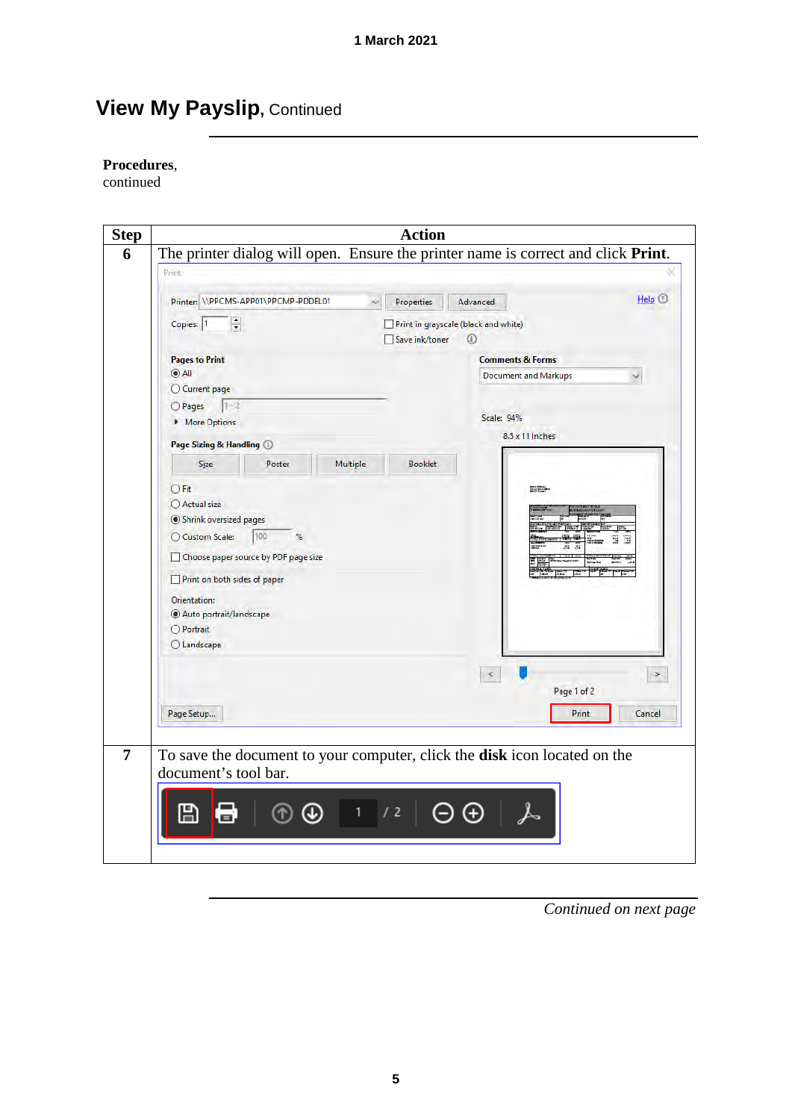#### **Procedures**,

continued

| Print |                                        | Printer: \\PPCMS-APP01\PPCMP-PDDEL01 | ×        | <b>Properties</b>                    | Advanced                    | Help <sup>(</sup> |
|-------|----------------------------------------|--------------------------------------|----------|--------------------------------------|-----------------------------|-------------------|
|       | $\frac{\bullet}{\bullet}$<br>Copies: 1 |                                      |          | Print in grayscale (black and white) |                             |                   |
|       |                                        |                                      |          | Save ink/toner                       | $^{\circ}$                  |                   |
|       | <b>Pages to Print</b>                  |                                      |          |                                      | <b>Comments &amp; Forms</b> |                   |
|       | $^{\circ}$ All<br>C Current page       |                                      |          |                                      | <b>Document and Markups</b> |                   |
|       | $1 - 2$<br>O Pages                     |                                      |          |                                      |                             |                   |
|       | More Options                           |                                      |          |                                      | Scale: 94%                  |                   |
|       |                                        |                                      |          |                                      | $8.5 \times 11$ Inches      |                   |
|       | Page Sizing & Handling 1               |                                      |          |                                      |                             |                   |
|       | Size                                   | Poster                               | Multiple | <b>Booklet</b>                       |                             |                   |
|       | OFit                                   |                                      |          |                                      | <b>SHEET</b>                |                   |
|       | ○ Actual size                          |                                      |          |                                      |                             |                   |
|       | Shrink oversized pages                 |                                      |          |                                      |                             |                   |
|       | C Custom Scale:                        | 100<br>%                             |          |                                      |                             |                   |
|       |                                        | Choose paper source by PDF page size |          |                                      |                             |                   |
|       | Print on both sides of paper           |                                      |          |                                      |                             |                   |
|       | Orientation:                           |                                      |          |                                      |                             |                   |
|       | Auto portrait/landscape                |                                      |          |                                      |                             |                   |
|       | O Portrait                             |                                      |          |                                      |                             |                   |
|       | <b>OLandscape</b>                      |                                      |          |                                      |                             |                   |
|       |                                        |                                      |          |                                      | $\preccurlyeq$              |                   |
|       |                                        |                                      |          |                                      |                             | Page 1 of 2       |
|       |                                        |                                      |          |                                      |                             |                   |
|       | Page Setup                             |                                      |          |                                      |                             | Print<br>Cancel   |